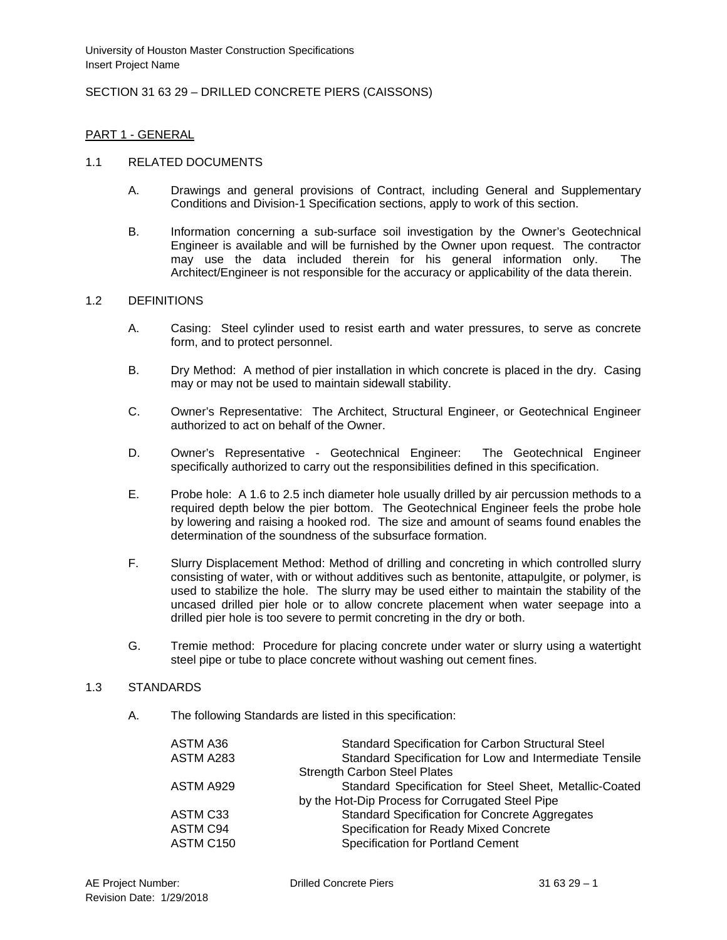# SECTION 31 63 29 – DRILLED CONCRETE PIERS (CAISSONS)

### PART 1 - GENERAL

#### 1.1 RELATED DOCUMENTS

- A. Drawings and general provisions of Contract, including General and Supplementary Conditions and Division-1 Specification sections, apply to work of this section.
- B. Information concerning a sub-surface soil investigation by the Owner's Geotechnical Engineer is available and will be furnished by the Owner upon request. The contractor may use the data included therein for his general information only. The Architect/Engineer is not responsible for the accuracy or applicability of the data therein.

### 1.2 DEFINITIONS

- A. Casing: Steel cylinder used to resist earth and water pressures, to serve as concrete form, and to protect personnel.
- B. Dry Method: A method of pier installation in which concrete is placed in the dry. Casing may or may not be used to maintain sidewall stability.
- C. Owner's Representative: The Architect, Structural Engineer, or Geotechnical Engineer authorized to act on behalf of the Owner.
- D. Owner's Representative Geotechnical Engineer: The Geotechnical Engineer specifically authorized to carry out the responsibilities defined in this specification.
- E. Probe hole: A 1.6 to 2.5 inch diameter hole usually drilled by air percussion methods to a required depth below the pier bottom. The Geotechnical Engineer feels the probe hole by lowering and raising a hooked rod. The size and amount of seams found enables the determination of the soundness of the subsurface formation.
- F. Slurry Displacement Method: Method of drilling and concreting in which controlled slurry consisting of water, with or without additives such as bentonite, attapulgite, or polymer, is used to stabilize the hole. The slurry may be used either to maintain the stability of the uncased drilled pier hole or to allow concrete placement when water seepage into a drilled pier hole is too severe to permit concreting in the dry or both.
- G. Tremie method: Procedure for placing concrete under water or slurry using a watertight steel pipe or tube to place concrete without washing out cement fines.

#### 1.3 STANDARDS

A. The following Standards are listed in this specification:

| ASTM A36<br>ASTM A283 | <b>Standard Specification for Carbon Structural Steel</b><br>Standard Specification for Low and Intermediate Tensile |
|-----------------------|----------------------------------------------------------------------------------------------------------------------|
|                       | <b>Strength Carbon Steel Plates</b>                                                                                  |
| ASTM A929             | Standard Specification for Steel Sheet, Metallic-Coated                                                              |
|                       | by the Hot-Dip Process for Corrugated Steel Pipe                                                                     |
| ASTM C33              | <b>Standard Specification for Concrete Aggregates</b>                                                                |
| ASTM C94              | Specification for Ready Mixed Concrete                                                                               |
| ASTM C150             | <b>Specification for Portland Cement</b>                                                                             |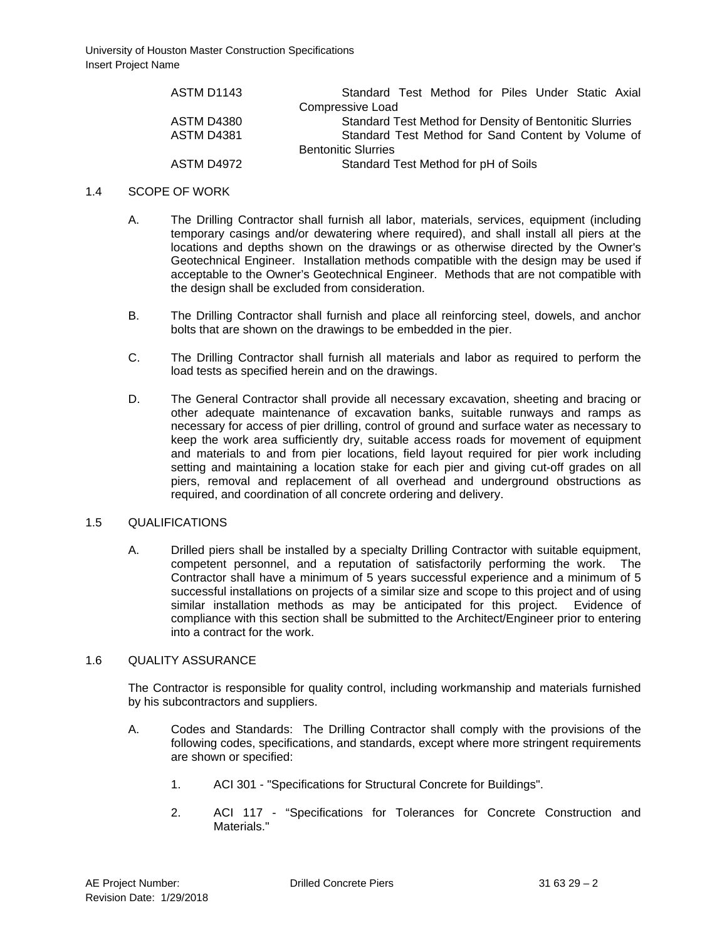| ASTM D1143        | Standard Test Method for Piles Under Static Axial       |  |  |  |
|-------------------|---------------------------------------------------------|--|--|--|
|                   | Compressive Load                                        |  |  |  |
| ASTM D4380        | Standard Test Method for Density of Bentonitic Slurries |  |  |  |
| <b>ASTM D4381</b> | Standard Test Method for Sand Content by Volume of      |  |  |  |
|                   | <b>Bentonitic Slurries</b>                              |  |  |  |
| ASTM D4972        | Standard Test Method for pH of Soils                    |  |  |  |

### 1.4 SCOPE OF WORK

- A. The Drilling Contractor shall furnish all labor, materials, services, equipment (including temporary casings and/or dewatering where required), and shall install all piers at the locations and depths shown on the drawings or as otherwise directed by the Owner's Geotechnical Engineer. Installation methods compatible with the design may be used if acceptable to the Owner's Geotechnical Engineer. Methods that are not compatible with the design shall be excluded from consideration.
- B. The Drilling Contractor shall furnish and place all reinforcing steel, dowels, and anchor bolts that are shown on the drawings to be embedded in the pier.
- C. The Drilling Contractor shall furnish all materials and labor as required to perform the load tests as specified herein and on the drawings.
- D. The General Contractor shall provide all necessary excavation, sheeting and bracing or other adequate maintenance of excavation banks, suitable runways and ramps as necessary for access of pier drilling, control of ground and surface water as necessary to keep the work area sufficiently dry, suitable access roads for movement of equipment and materials to and from pier locations, field layout required for pier work including setting and maintaining a location stake for each pier and giving cut-off grades on all piers, removal and replacement of all overhead and underground obstructions as required, and coordination of all concrete ordering and delivery.

### 1.5 QUALIFICATIONS

A. Drilled piers shall be installed by a specialty Drilling Contractor with suitable equipment, competent personnel, and a reputation of satisfactorily performing the work. The Contractor shall have a minimum of 5 years successful experience and a minimum of 5 successful installations on projects of a similar size and scope to this project and of using similar installation methods as may be anticipated for this project. Evidence of compliance with this section shall be submitted to the Architect/Engineer prior to entering into a contract for the work.

#### 1.6 QUALITY ASSURANCE

The Contractor is responsible for quality control, including workmanship and materials furnished by his subcontractors and suppliers.

- A. Codes and Standards: The Drilling Contractor shall comply with the provisions of the following codes, specifications, and standards, except where more stringent requirements are shown or specified:
	- 1. ACI 301 "Specifications for Structural Concrete for Buildings".
	- 2. ACI 117 "Specifications for Tolerances for Concrete Construction and Materials."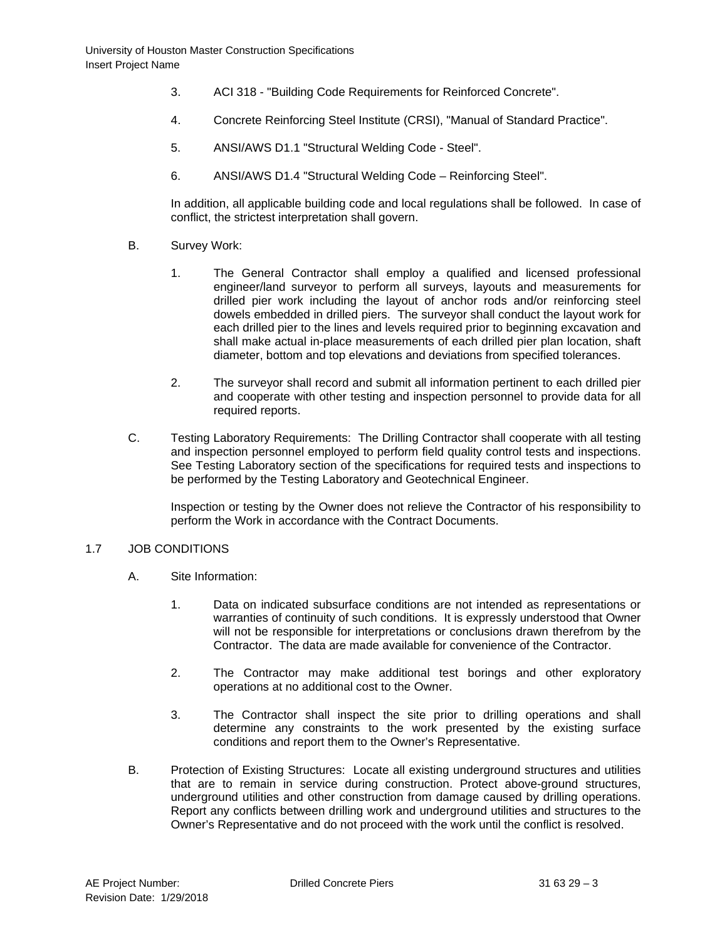- 3. ACI 318 "Building Code Requirements for Reinforced Concrete".
- 4. Concrete Reinforcing Steel Institute (CRSI), "Manual of Standard Practice".
- 5. ANSI/AWS D1.1 "Structural Welding Code Steel".
- 6. ANSI/AWS D1.4 "Structural Welding Code Reinforcing Steel".

In addition, all applicable building code and local regulations shall be followed. In case of conflict, the strictest interpretation shall govern.

- B. Survey Work:
	- 1. The General Contractor shall employ a qualified and licensed professional engineer/land surveyor to perform all surveys, layouts and measurements for drilled pier work including the layout of anchor rods and/or reinforcing steel dowels embedded in drilled piers. The surveyor shall conduct the layout work for each drilled pier to the lines and levels required prior to beginning excavation and shall make actual in-place measurements of each drilled pier plan location, shaft diameter, bottom and top elevations and deviations from specified tolerances.
	- 2. The surveyor shall record and submit all information pertinent to each drilled pier and cooperate with other testing and inspection personnel to provide data for all required reports.
- C. Testing Laboratory Requirements: The Drilling Contractor shall cooperate with all testing and inspection personnel employed to perform field quality control tests and inspections. See Testing Laboratory section of the specifications for required tests and inspections to be performed by the Testing Laboratory and Geotechnical Engineer.

Inspection or testing by the Owner does not relieve the Contractor of his responsibility to perform the Work in accordance with the Contract Documents.

### 1.7 JOB CONDITIONS

- A. Site Information:
	- 1. Data on indicated subsurface conditions are not intended as representations or warranties of continuity of such conditions. It is expressly understood that Owner will not be responsible for interpretations or conclusions drawn therefrom by the Contractor. The data are made available for convenience of the Contractor.
	- 2. The Contractor may make additional test borings and other exploratory operations at no additional cost to the Owner.
	- 3. The Contractor shall inspect the site prior to drilling operations and shall determine any constraints to the work presented by the existing surface conditions and report them to the Owner's Representative.
- B. Protection of Existing Structures: Locate all existing underground structures and utilities that are to remain in service during construction. Protect above-ground structures, underground utilities and other construction from damage caused by drilling operations. Report any conflicts between drilling work and underground utilities and structures to the Owner's Representative and do not proceed with the work until the conflict is resolved.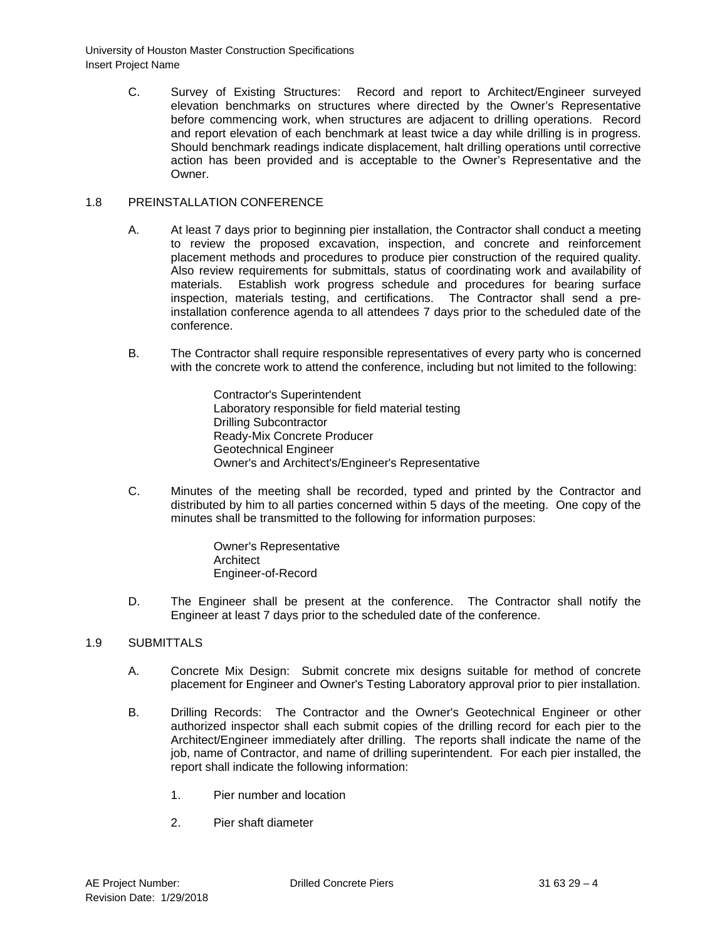> C. Survey of Existing Structures: Record and report to Architect/Engineer surveyed elevation benchmarks on structures where directed by the Owner's Representative before commencing work, when structures are adjacent to drilling operations. Record and report elevation of each benchmark at least twice a day while drilling is in progress. Should benchmark readings indicate displacement, halt drilling operations until corrective action has been provided and is acceptable to the Owner's Representative and the **Owner**

# 1.8 PREINSTALLATION CONFERENCE

- A. At least 7 days prior to beginning pier installation, the Contractor shall conduct a meeting to review the proposed excavation, inspection, and concrete and reinforcement placement methods and procedures to produce pier construction of the required quality. Also review requirements for submittals, status of coordinating work and availability of materials. Establish work progress schedule and procedures for bearing surface inspection, materials testing, and certifications. The Contractor shall send a preinstallation conference agenda to all attendees 7 days prior to the scheduled date of the conference.
- B. The Contractor shall require responsible representatives of every party who is concerned with the concrete work to attend the conference, including but not limited to the following:

Contractor's Superintendent Laboratory responsible for field material testing Drilling Subcontractor Ready-Mix Concrete Producer Geotechnical Engineer Owner's and Architect's/Engineer's Representative

C. Minutes of the meeting shall be recorded, typed and printed by the Contractor and distributed by him to all parties concerned within 5 days of the meeting. One copy of the minutes shall be transmitted to the following for information purposes:

> Owner's Representative **Architect** Engineer-of-Record

D. The Engineer shall be present at the conference. The Contractor shall notify the Engineer at least 7 days prior to the scheduled date of the conference.

### 1.9 SUBMITTALS

- A. Concrete Mix Design: Submit concrete mix designs suitable for method of concrete placement for Engineer and Owner's Testing Laboratory approval prior to pier installation.
- B. Drilling Records: The Contractor and the Owner's Geotechnical Engineer or other authorized inspector shall each submit copies of the drilling record for each pier to the Architect/Engineer immediately after drilling. The reports shall indicate the name of the job, name of Contractor, and name of drilling superintendent. For each pier installed, the report shall indicate the following information:
	- 1. Pier number and location
	- 2. Pier shaft diameter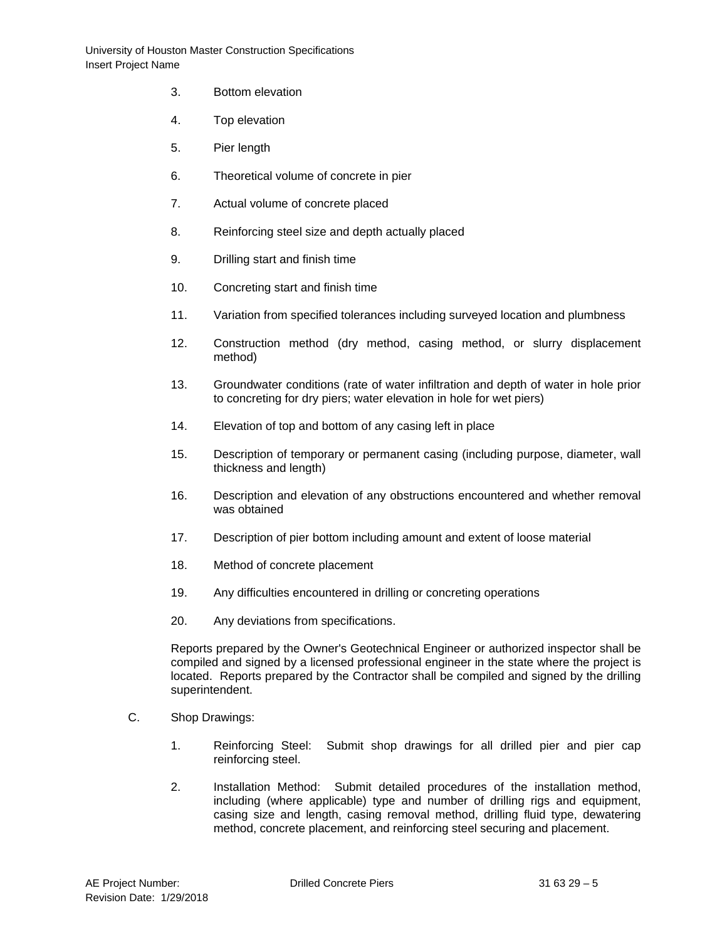- 3. Bottom elevation
- 4. Top elevation
- 5. Pier length
- 6. Theoretical volume of concrete in pier
- 7. Actual volume of concrete placed
- 8. Reinforcing steel size and depth actually placed
- 9. Drilling start and finish time
- 10. Concreting start and finish time
- 11. Variation from specified tolerances including surveyed location and plumbness
- 12. Construction method (dry method, casing method, or slurry displacement method)
- 13. Groundwater conditions (rate of water infiltration and depth of water in hole prior to concreting for dry piers; water elevation in hole for wet piers)
- 14. Elevation of top and bottom of any casing left in place
- 15. Description of temporary or permanent casing (including purpose, diameter, wall thickness and length)
- 16. Description and elevation of any obstructions encountered and whether removal was obtained
- 17. Description of pier bottom including amount and extent of loose material
- 18. Method of concrete placement
- 19. Any difficulties encountered in drilling or concreting operations
- 20. Any deviations from specifications.

Reports prepared by the Owner's Geotechnical Engineer or authorized inspector shall be compiled and signed by a licensed professional engineer in the state where the project is located. Reports prepared by the Contractor shall be compiled and signed by the drilling superintendent.

- C. Shop Drawings:
	- 1. Reinforcing Steel: Submit shop drawings for all drilled pier and pier cap reinforcing steel.
	- 2. Installation Method: Submit detailed procedures of the installation method, including (where applicable) type and number of drilling rigs and equipment, casing size and length, casing removal method, drilling fluid type, dewatering method, concrete placement, and reinforcing steel securing and placement.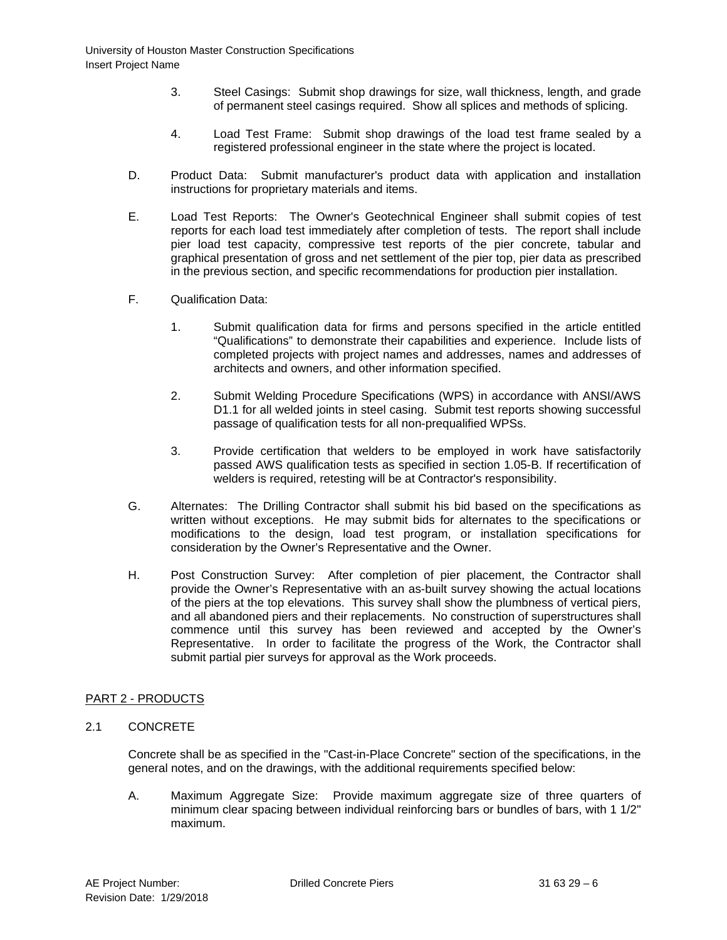- 3. Steel Casings: Submit shop drawings for size, wall thickness, length, and grade of permanent steel casings required. Show all splices and methods of splicing.
- 4. Load Test Frame: Submit shop drawings of the load test frame sealed by a registered professional engineer in the state where the project is located.
- D. Product Data: Submit manufacturer's product data with application and installation instructions for proprietary materials and items.
- E. Load Test Reports: The Owner's Geotechnical Engineer shall submit copies of test reports for each load test immediately after completion of tests. The report shall include pier load test capacity, compressive test reports of the pier concrete, tabular and graphical presentation of gross and net settlement of the pier top, pier data as prescribed in the previous section, and specific recommendations for production pier installation.
- F. Qualification Data:
	- 1. Submit qualification data for firms and persons specified in the article entitled "Qualifications" to demonstrate their capabilities and experience. Include lists of completed projects with project names and addresses, names and addresses of architects and owners, and other information specified.
	- 2. Submit Welding Procedure Specifications (WPS) in accordance with ANSI/AWS D1.1 for all welded joints in steel casing. Submit test reports showing successful passage of qualification tests for all non-prequalified WPSs.
	- 3. Provide certification that welders to be employed in work have satisfactorily passed AWS qualification tests as specified in section 1.05-B. If recertification of welders is required, retesting will be at Contractor's responsibility.
- G. Alternates: The Drilling Contractor shall submit his bid based on the specifications as written without exceptions. He may submit bids for alternates to the specifications or modifications to the design, load test program, or installation specifications for consideration by the Owner's Representative and the Owner.
- H. Post Construction Survey: After completion of pier placement, the Contractor shall provide the Owner's Representative with an as-built survey showing the actual locations of the piers at the top elevations. This survey shall show the plumbness of vertical piers, and all abandoned piers and their replacements. No construction of superstructures shall commence until this survey has been reviewed and accepted by the Owner's Representative. In order to facilitate the progress of the Work, the Contractor shall submit partial pier surveys for approval as the Work proceeds.

# PART 2 - PRODUCTS

2.1 CONCRETE

Concrete shall be as specified in the "Cast-in-Place Concrete" section of the specifications, in the general notes, and on the drawings, with the additional requirements specified below:

A. Maximum Aggregate Size: Provide maximum aggregate size of three quarters of minimum clear spacing between individual reinforcing bars or bundles of bars, with 1 1/2" maximum.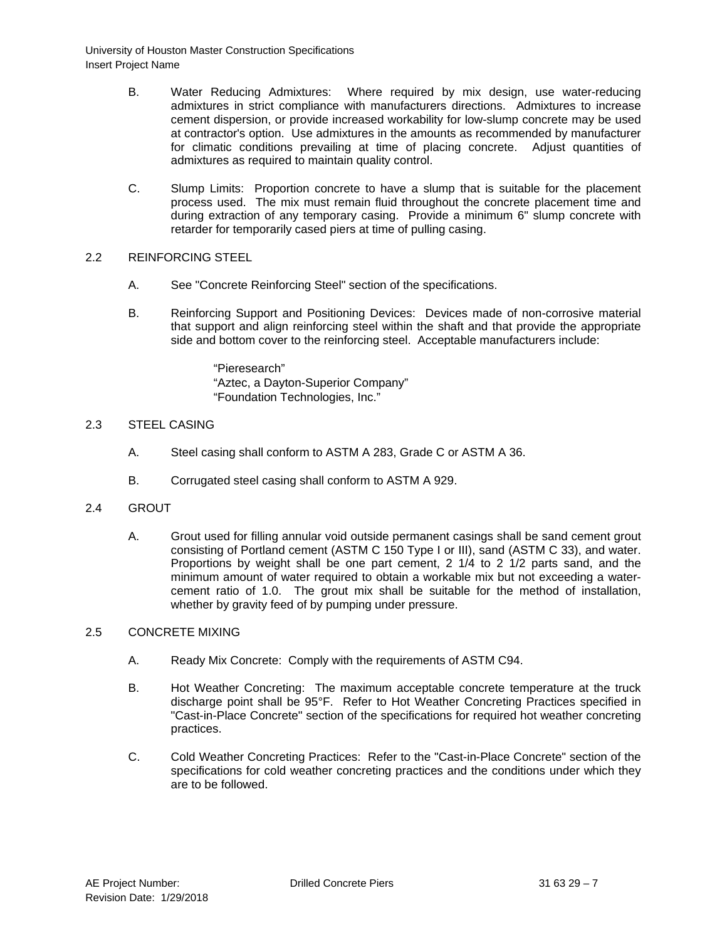- B. Water Reducing Admixtures: Where required by mix design, use water-reducing admixtures in strict compliance with manufacturers directions. Admixtures to increase cement dispersion, or provide increased workability for low-slump concrete may be used at contractor's option. Use admixtures in the amounts as recommended by manufacturer for climatic conditions prevailing at time of placing concrete. Adjust quantities of admixtures as required to maintain quality control.
- C. Slump Limits: Proportion concrete to have a slump that is suitable for the placement process used. The mix must remain fluid throughout the concrete placement time and during extraction of any temporary casing. Provide a minimum 6" slump concrete with retarder for temporarily cased piers at time of pulling casing.

# 2.2 REINFORCING STEEL

- A. See "Concrete Reinforcing Steel" section of the specifications.
- B. Reinforcing Support and Positioning Devices: Devices made of non-corrosive material that support and align reinforcing steel within the shaft and that provide the appropriate side and bottom cover to the reinforcing steel. Acceptable manufacturers include:

"Pieresearch" "Aztec, a Dayton-Superior Company" "Foundation Technologies, Inc."

# 2.3 STEEL CASING

- A. Steel casing shall conform to ASTM A 283, Grade C or ASTM A 36.
- B. Corrugated steel casing shall conform to ASTM A 929.
- 2.4 GROUT
	- A. Grout used for filling annular void outside permanent casings shall be sand cement grout consisting of Portland cement (ASTM C 150 Type I or III), sand (ASTM C 33), and water. Proportions by weight shall be one part cement, 2 1/4 to 2 1/2 parts sand, and the minimum amount of water required to obtain a workable mix but not exceeding a watercement ratio of 1.0. The grout mix shall be suitable for the method of installation, whether by gravity feed of by pumping under pressure.

### 2.5 CONCRETE MIXING

- A. Ready Mix Concrete: Comply with the requirements of ASTM C94.
- B. Hot Weather Concreting: The maximum acceptable concrete temperature at the truck discharge point shall be 95°F. Refer to Hot Weather Concreting Practices specified in "Cast-in-Place Concrete" section of the specifications for required hot weather concreting practices.
- C. Cold Weather Concreting Practices: Refer to the "Cast-in-Place Concrete" section of the specifications for cold weather concreting practices and the conditions under which they are to be followed.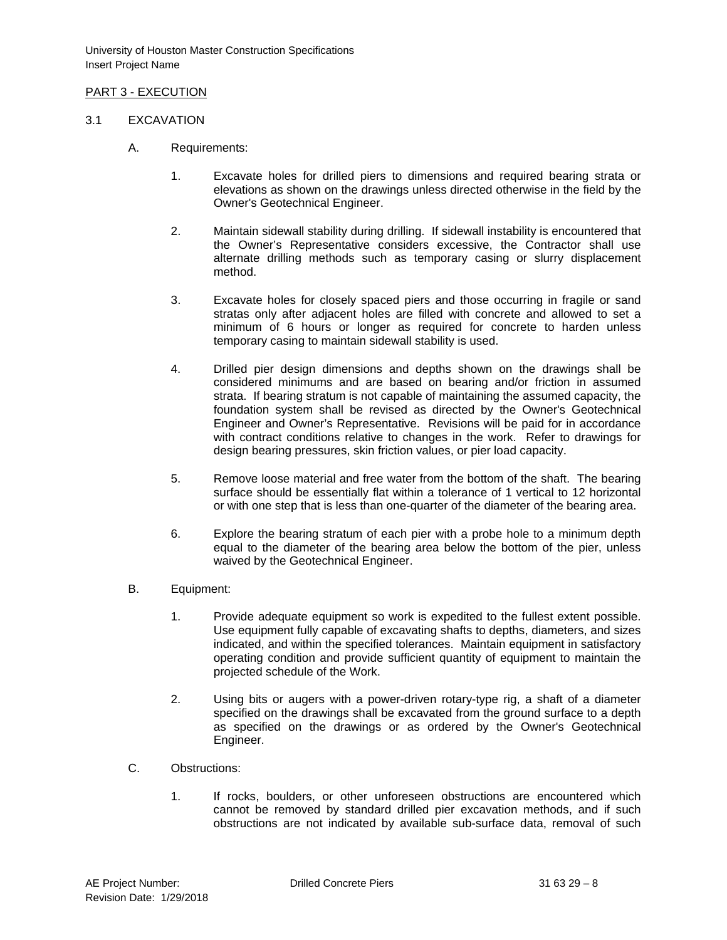# PART 3 - EXECUTION

### 3.1 EXCAVATION

- A. Requirements:
	- 1. Excavate holes for drilled piers to dimensions and required bearing strata or elevations as shown on the drawings unless directed otherwise in the field by the Owner's Geotechnical Engineer.
	- 2. Maintain sidewall stability during drilling. If sidewall instability is encountered that the Owner's Representative considers excessive, the Contractor shall use alternate drilling methods such as temporary casing or slurry displacement method.
	- 3. Excavate holes for closely spaced piers and those occurring in fragile or sand stratas only after adjacent holes are filled with concrete and allowed to set a minimum of 6 hours or longer as required for concrete to harden unless temporary casing to maintain sidewall stability is used.
	- 4. Drilled pier design dimensions and depths shown on the drawings shall be considered minimums and are based on bearing and/or friction in assumed strata. If bearing stratum is not capable of maintaining the assumed capacity, the foundation system shall be revised as directed by the Owner's Geotechnical Engineer and Owner's Representative. Revisions will be paid for in accordance with contract conditions relative to changes in the work. Refer to drawings for design bearing pressures, skin friction values, or pier load capacity.
	- 5. Remove loose material and free water from the bottom of the shaft. The bearing surface should be essentially flat within a tolerance of 1 vertical to 12 horizontal or with one step that is less than one-quarter of the diameter of the bearing area.
	- 6. Explore the bearing stratum of each pier with a probe hole to a minimum depth equal to the diameter of the bearing area below the bottom of the pier, unless waived by the Geotechnical Engineer.
- B. Equipment:
	- 1. Provide adequate equipment so work is expedited to the fullest extent possible. Use equipment fully capable of excavating shafts to depths, diameters, and sizes indicated, and within the specified tolerances. Maintain equipment in satisfactory operating condition and provide sufficient quantity of equipment to maintain the projected schedule of the Work.
	- 2. Using bits or augers with a power-driven rotary-type rig, a shaft of a diameter specified on the drawings shall be excavated from the ground surface to a depth as specified on the drawings or as ordered by the Owner's Geotechnical Engineer.
- C. Obstructions:
	- 1. If rocks, boulders, or other unforeseen obstructions are encountered which cannot be removed by standard drilled pier excavation methods, and if such obstructions are not indicated by available sub-surface data, removal of such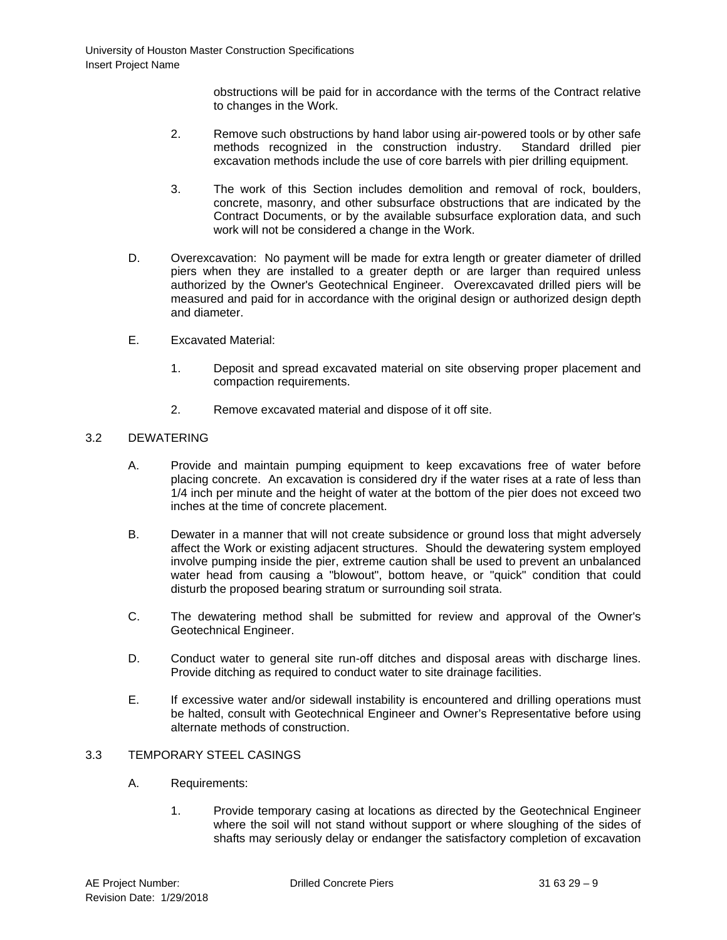obstructions will be paid for in accordance with the terms of the Contract relative to changes in the Work.

- 2. Remove such obstructions by hand labor using air-powered tools or by other safe methods recognized in the construction industry. Standard drilled pier excavation methods include the use of core barrels with pier drilling equipment.
- 3. The work of this Section includes demolition and removal of rock, boulders, concrete, masonry, and other subsurface obstructions that are indicated by the Contract Documents, or by the available subsurface exploration data, and such work will not be considered a change in the Work.
- D. Overexcavation: No payment will be made for extra length or greater diameter of drilled piers when they are installed to a greater depth or are larger than required unless authorized by the Owner's Geotechnical Engineer. Overexcavated drilled piers will be measured and paid for in accordance with the original design or authorized design depth and diameter.
- E. Excavated Material:
	- 1. Deposit and spread excavated material on site observing proper placement and compaction requirements.
	- 2. Remove excavated material and dispose of it off site.

# 3.2 DEWATERING

- A. Provide and maintain pumping equipment to keep excavations free of water before placing concrete. An excavation is considered dry if the water rises at a rate of less than 1/4 inch per minute and the height of water at the bottom of the pier does not exceed two inches at the time of concrete placement.
- B. Dewater in a manner that will not create subsidence or ground loss that might adversely affect the Work or existing adjacent structures. Should the dewatering system employed involve pumping inside the pier, extreme caution shall be used to prevent an unbalanced water head from causing a "blowout", bottom heave, or "quick" condition that could disturb the proposed bearing stratum or surrounding soil strata.
- C. The dewatering method shall be submitted for review and approval of the Owner's Geotechnical Engineer.
- D. Conduct water to general site run-off ditches and disposal areas with discharge lines. Provide ditching as required to conduct water to site drainage facilities.
- E. If excessive water and/or sidewall instability is encountered and drilling operations must be halted, consult with Geotechnical Engineer and Owner's Representative before using alternate methods of construction.

# 3.3 TEMPORARY STEEL CASINGS

- A. Requirements:
	- 1. Provide temporary casing at locations as directed by the Geotechnical Engineer where the soil will not stand without support or where sloughing of the sides of shafts may seriously delay or endanger the satisfactory completion of excavation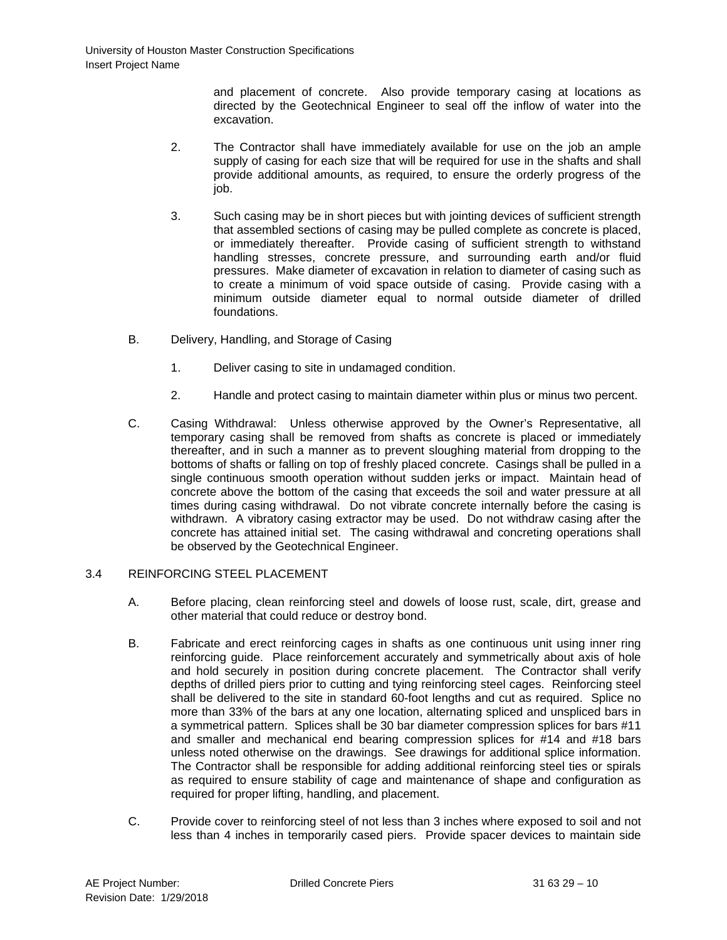and placement of concrete. Also provide temporary casing at locations as directed by the Geotechnical Engineer to seal off the inflow of water into the excavation.

- 2. The Contractor shall have immediately available for use on the job an ample supply of casing for each size that will be required for use in the shafts and shall provide additional amounts, as required, to ensure the orderly progress of the iob.
- 3. Such casing may be in short pieces but with jointing devices of sufficient strength that assembled sections of casing may be pulled complete as concrete is placed, or immediately thereafter. Provide casing of sufficient strength to withstand handling stresses, concrete pressure, and surrounding earth and/or fluid pressures. Make diameter of excavation in relation to diameter of casing such as to create a minimum of void space outside of casing. Provide casing with a minimum outside diameter equal to normal outside diameter of drilled foundations.
- B. Delivery, Handling, and Storage of Casing
	- 1. Deliver casing to site in undamaged condition.
	- 2. Handle and protect casing to maintain diameter within plus or minus two percent.
- C. Casing Withdrawal: Unless otherwise approved by the Owner's Representative, all temporary casing shall be removed from shafts as concrete is placed or immediately thereafter, and in such a manner as to prevent sloughing material from dropping to the bottoms of shafts or falling on top of freshly placed concrete. Casings shall be pulled in a single continuous smooth operation without sudden jerks or impact. Maintain head of concrete above the bottom of the casing that exceeds the soil and water pressure at all times during casing withdrawal. Do not vibrate concrete internally before the casing is withdrawn. A vibratory casing extractor may be used. Do not withdraw casing after the concrete has attained initial set. The casing withdrawal and concreting operations shall be observed by the Geotechnical Engineer.

# 3.4 REINFORCING STEEL PLACEMENT

- A. Before placing, clean reinforcing steel and dowels of loose rust, scale, dirt, grease and other material that could reduce or destroy bond.
- B. Fabricate and erect reinforcing cages in shafts as one continuous unit using inner ring reinforcing guide. Place reinforcement accurately and symmetrically about axis of hole and hold securely in position during concrete placement. The Contractor shall verify depths of drilled piers prior to cutting and tying reinforcing steel cages. Reinforcing steel shall be delivered to the site in standard 60-foot lengths and cut as required. Splice no more than 33% of the bars at any one location, alternating spliced and unspliced bars in a symmetrical pattern. Splices shall be 30 bar diameter compression splices for bars #11 and smaller and mechanical end bearing compression splices for #14 and #18 bars unless noted otherwise on the drawings. See drawings for additional splice information. The Contractor shall be responsible for adding additional reinforcing steel ties or spirals as required to ensure stability of cage and maintenance of shape and configuration as required for proper lifting, handling, and placement.
- C. Provide cover to reinforcing steel of not less than 3 inches where exposed to soil and not less than 4 inches in temporarily cased piers. Provide spacer devices to maintain side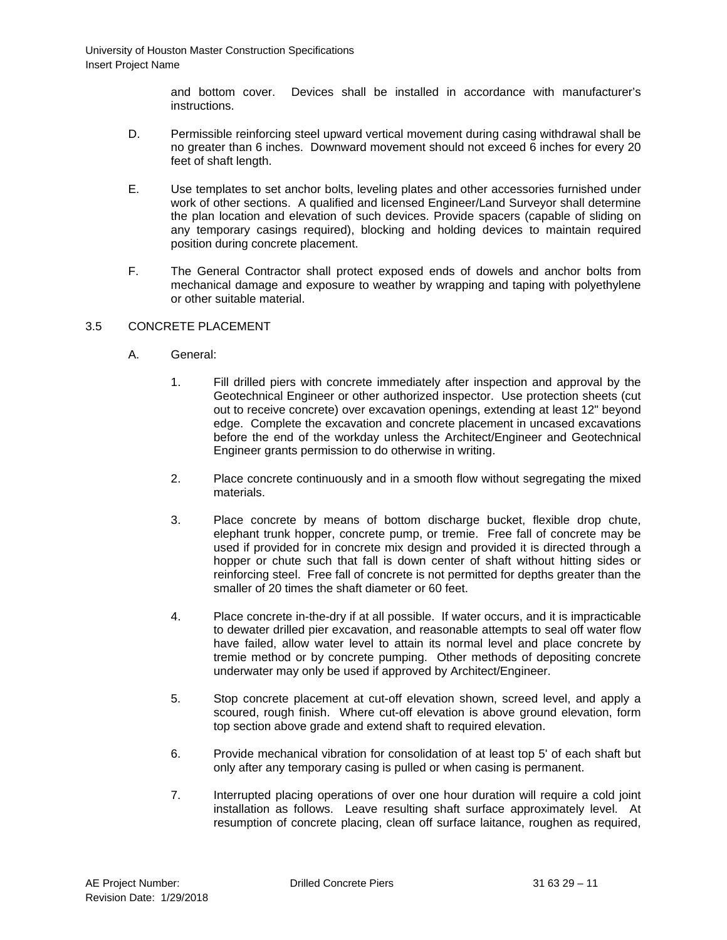and bottom cover. Devices shall be installed in accordance with manufacturer's instructions.

- D. Permissible reinforcing steel upward vertical movement during casing withdrawal shall be no greater than 6 inches. Downward movement should not exceed 6 inches for every 20 feet of shaft length.
- E. Use templates to set anchor bolts, leveling plates and other accessories furnished under work of other sections. A qualified and licensed Engineer/Land Surveyor shall determine the plan location and elevation of such devices. Provide spacers (capable of sliding on any temporary casings required), blocking and holding devices to maintain required position during concrete placement.
- F. The General Contractor shall protect exposed ends of dowels and anchor bolts from mechanical damage and exposure to weather by wrapping and taping with polyethylene or other suitable material.

# 3.5 CONCRETE PLACEMENT

- A. General:
	- 1. Fill drilled piers with concrete immediately after inspection and approval by the Geotechnical Engineer or other authorized inspector. Use protection sheets (cut out to receive concrete) over excavation openings, extending at least 12" beyond edge. Complete the excavation and concrete placement in uncased excavations before the end of the workday unless the Architect/Engineer and Geotechnical Engineer grants permission to do otherwise in writing.
	- 2. Place concrete continuously and in a smooth flow without segregating the mixed materials.
	- 3. Place concrete by means of bottom discharge bucket, flexible drop chute, elephant trunk hopper, concrete pump, or tremie. Free fall of concrete may be used if provided for in concrete mix design and provided it is directed through a hopper or chute such that fall is down center of shaft without hitting sides or reinforcing steel. Free fall of concrete is not permitted for depths greater than the smaller of 20 times the shaft diameter or 60 feet.
	- 4. Place concrete in-the-dry if at all possible. If water occurs, and it is impracticable to dewater drilled pier excavation, and reasonable attempts to seal off water flow have failed, allow water level to attain its normal level and place concrete by tremie method or by concrete pumping. Other methods of depositing concrete underwater may only be used if approved by Architect/Engineer.
	- 5. Stop concrete placement at cut-off elevation shown, screed level, and apply a scoured, rough finish. Where cut-off elevation is above ground elevation, form top section above grade and extend shaft to required elevation.
	- 6. Provide mechanical vibration for consolidation of at least top 5' of each shaft but only after any temporary casing is pulled or when casing is permanent.
	- 7. Interrupted placing operations of over one hour duration will require a cold joint installation as follows. Leave resulting shaft surface approximately level. At resumption of concrete placing, clean off surface laitance, roughen as required,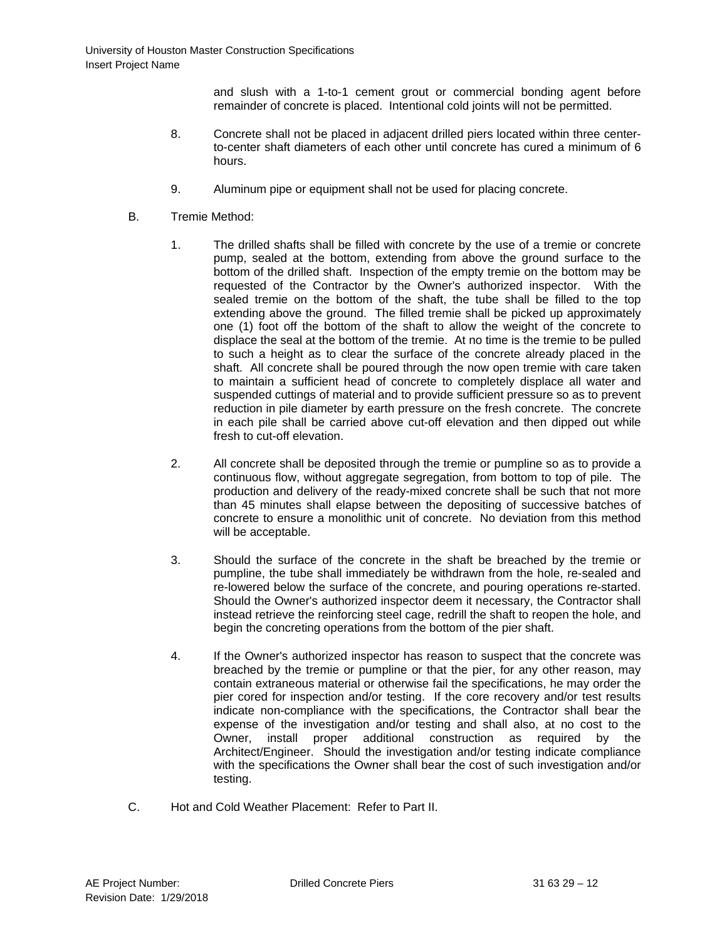and slush with a 1-to-1 cement grout or commercial bonding agent before remainder of concrete is placed. Intentional cold joints will not be permitted.

- 8. Concrete shall not be placed in adjacent drilled piers located within three centerto-center shaft diameters of each other until concrete has cured a minimum of 6 hours.
- 9. Aluminum pipe or equipment shall not be used for placing concrete.
- B. Tremie Method:
	- 1. The drilled shafts shall be filled with concrete by the use of a tremie or concrete pump, sealed at the bottom, extending from above the ground surface to the bottom of the drilled shaft. Inspection of the empty tremie on the bottom may be requested of the Contractor by the Owner's authorized inspector. With the sealed tremie on the bottom of the shaft, the tube shall be filled to the top extending above the ground. The filled tremie shall be picked up approximately one (1) foot off the bottom of the shaft to allow the weight of the concrete to displace the seal at the bottom of the tremie. At no time is the tremie to be pulled to such a height as to clear the surface of the concrete already placed in the shaft. All concrete shall be poured through the now open tremie with care taken to maintain a sufficient head of concrete to completely displace all water and suspended cuttings of material and to provide sufficient pressure so as to prevent reduction in pile diameter by earth pressure on the fresh concrete. The concrete in each pile shall be carried above cut-off elevation and then dipped out while fresh to cut-off elevation.
	- 2. All concrete shall be deposited through the tremie or pumpline so as to provide a continuous flow, without aggregate segregation, from bottom to top of pile. The production and delivery of the ready-mixed concrete shall be such that not more than 45 minutes shall elapse between the depositing of successive batches of concrete to ensure a monolithic unit of concrete. No deviation from this method will be acceptable.
	- 3. Should the surface of the concrete in the shaft be breached by the tremie or pumpline, the tube shall immediately be withdrawn from the hole, re-sealed and re-lowered below the surface of the concrete, and pouring operations re-started. Should the Owner's authorized inspector deem it necessary, the Contractor shall instead retrieve the reinforcing steel cage, redrill the shaft to reopen the hole, and begin the concreting operations from the bottom of the pier shaft.
	- 4. If the Owner's authorized inspector has reason to suspect that the concrete was breached by the tremie or pumpline or that the pier, for any other reason, may contain extraneous material or otherwise fail the specifications, he may order the pier cored for inspection and/or testing. If the core recovery and/or test results indicate non-compliance with the specifications, the Contractor shall bear the expense of the investigation and/or testing and shall also, at no cost to the Owner, install proper additional construction as required by the Architect/Engineer. Should the investigation and/or testing indicate compliance with the specifications the Owner shall bear the cost of such investigation and/or testing.
- C. Hot and Cold Weather Placement: Refer to Part II.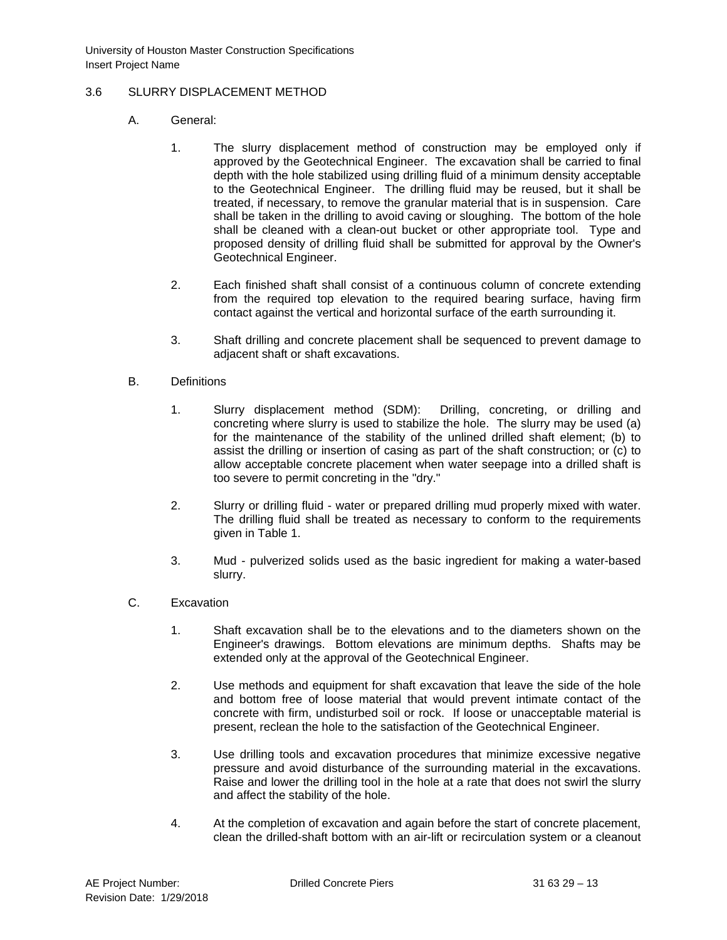# 3.6 SLURRY DISPLACEMENT METHOD

- A. General:
	- 1. The slurry displacement method of construction may be employed only if approved by the Geotechnical Engineer. The excavation shall be carried to final depth with the hole stabilized using drilling fluid of a minimum density acceptable to the Geotechnical Engineer. The drilling fluid may be reused, but it shall be treated, if necessary, to remove the granular material that is in suspension. Care shall be taken in the drilling to avoid caving or sloughing. The bottom of the hole shall be cleaned with a clean-out bucket or other appropriate tool. Type and proposed density of drilling fluid shall be submitted for approval by the Owner's Geotechnical Engineer.
	- 2. Each finished shaft shall consist of a continuous column of concrete extending from the required top elevation to the required bearing surface, having firm contact against the vertical and horizontal surface of the earth surrounding it.
	- 3. Shaft drilling and concrete placement shall be sequenced to prevent damage to adjacent shaft or shaft excavations.
- B. Definitions
	- 1. Slurry displacement method (SDM): Drilling, concreting, or drilling and concreting where slurry is used to stabilize the hole. The slurry may be used (a) for the maintenance of the stability of the unlined drilled shaft element; (b) to assist the drilling or insertion of casing as part of the shaft construction; or (c) to allow acceptable concrete placement when water seepage into a drilled shaft is too severe to permit concreting in the "dry."
	- 2. Slurry or drilling fluid water or prepared drilling mud properly mixed with water. The drilling fluid shall be treated as necessary to conform to the requirements given in Table 1.
	- 3. Mud pulverized solids used as the basic ingredient for making a water-based slurry.
- C. Excavation
	- 1. Shaft excavation shall be to the elevations and to the diameters shown on the Engineer's drawings. Bottom elevations are minimum depths. Shafts may be extended only at the approval of the Geotechnical Engineer.
	- 2. Use methods and equipment for shaft excavation that leave the side of the hole and bottom free of loose material that would prevent intimate contact of the concrete with firm, undisturbed soil or rock. If loose or unacceptable material is present, reclean the hole to the satisfaction of the Geotechnical Engineer.
	- 3. Use drilling tools and excavation procedures that minimize excessive negative pressure and avoid disturbance of the surrounding material in the excavations. Raise and lower the drilling tool in the hole at a rate that does not swirl the slurry and affect the stability of the hole.
	- 4. At the completion of excavation and again before the start of concrete placement, clean the drilled-shaft bottom with an air-lift or recirculation system or a cleanout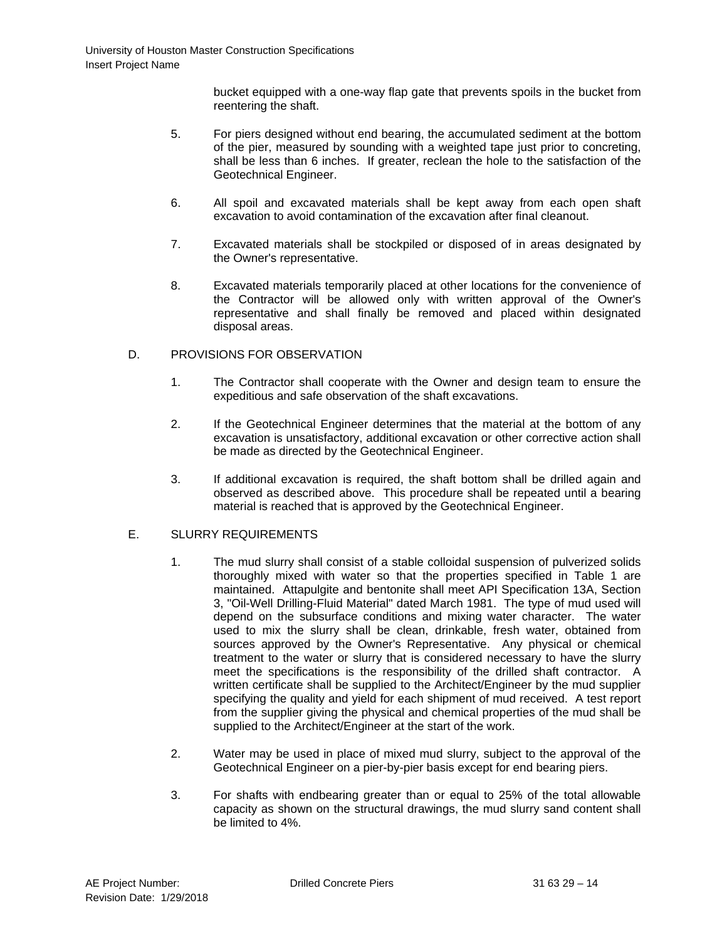bucket equipped with a one-way flap gate that prevents spoils in the bucket from reentering the shaft.

- 5. For piers designed without end bearing, the accumulated sediment at the bottom of the pier, measured by sounding with a weighted tape just prior to concreting, shall be less than 6 inches. If greater, reclean the hole to the satisfaction of the Geotechnical Engineer.
- 6. All spoil and excavated materials shall be kept away from each open shaft excavation to avoid contamination of the excavation after final cleanout.
- 7. Excavated materials shall be stockpiled or disposed of in areas designated by the Owner's representative.
- 8. Excavated materials temporarily placed at other locations for the convenience of the Contractor will be allowed only with written approval of the Owner's representative and shall finally be removed and placed within designated disposal areas.

# D. PROVISIONS FOR OBSERVATION

- 1. The Contractor shall cooperate with the Owner and design team to ensure the expeditious and safe observation of the shaft excavations.
- 2. If the Geotechnical Engineer determines that the material at the bottom of any excavation is unsatisfactory, additional excavation or other corrective action shall be made as directed by the Geotechnical Engineer.
- 3. If additional excavation is required, the shaft bottom shall be drilled again and observed as described above. This procedure shall be repeated until a bearing material is reached that is approved by the Geotechnical Engineer.

# E. SLURRY REQUIREMENTS

- 1. The mud slurry shall consist of a stable colloidal suspension of pulverized solids thoroughly mixed with water so that the properties specified in Table 1 are maintained. Attapulgite and bentonite shall meet API Specification 13A, Section 3, "Oil-Well Drilling-Fluid Material" dated March 1981. The type of mud used will depend on the subsurface conditions and mixing water character. The water used to mix the slurry shall be clean, drinkable, fresh water, obtained from sources approved by the Owner's Representative. Any physical or chemical treatment to the water or slurry that is considered necessary to have the slurry meet the specifications is the responsibility of the drilled shaft contractor. A written certificate shall be supplied to the Architect/Engineer by the mud supplier specifying the quality and yield for each shipment of mud received. A test report from the supplier giving the physical and chemical properties of the mud shall be supplied to the Architect/Engineer at the start of the work.
- 2. Water may be used in place of mixed mud slurry, subject to the approval of the Geotechnical Engineer on a pier-by-pier basis except for end bearing piers.
- 3. For shafts with endbearing greater than or equal to 25% of the total allowable capacity as shown on the structural drawings, the mud slurry sand content shall be limited to 4%.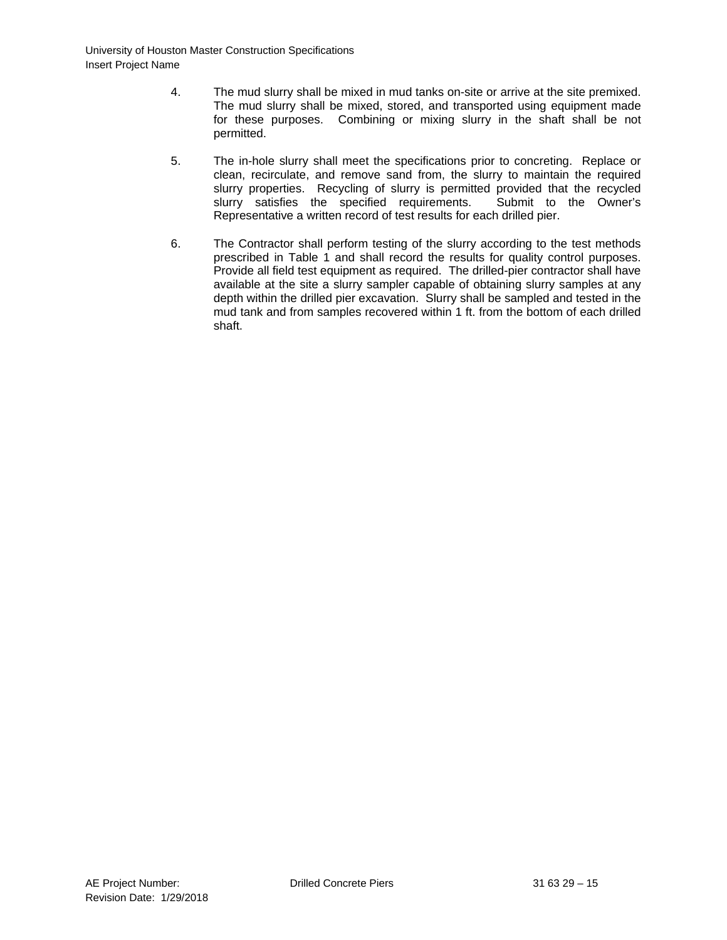- 4. The mud slurry shall be mixed in mud tanks on-site or arrive at the site premixed. The mud slurry shall be mixed, stored, and transported using equipment made for these purposes. Combining or mixing slurry in the shaft shall be not permitted.
- 5. The in-hole slurry shall meet the specifications prior to concreting. Replace or clean, recirculate, and remove sand from, the slurry to maintain the required slurry properties. Recycling of slurry is permitted provided that the recycled slurry satisfies the specified requirements. Submit to the Owner's slurry satisfies the specified requirements. Representative a written record of test results for each drilled pier.
- 6. The Contractor shall perform testing of the slurry according to the test methods prescribed in Table 1 and shall record the results for quality control purposes. Provide all field test equipment as required. The drilled-pier contractor shall have available at the site a slurry sampler capable of obtaining slurry samples at any depth within the drilled pier excavation. Slurry shall be sampled and tested in the mud tank and from samples recovered within 1 ft. from the bottom of each drilled shaft.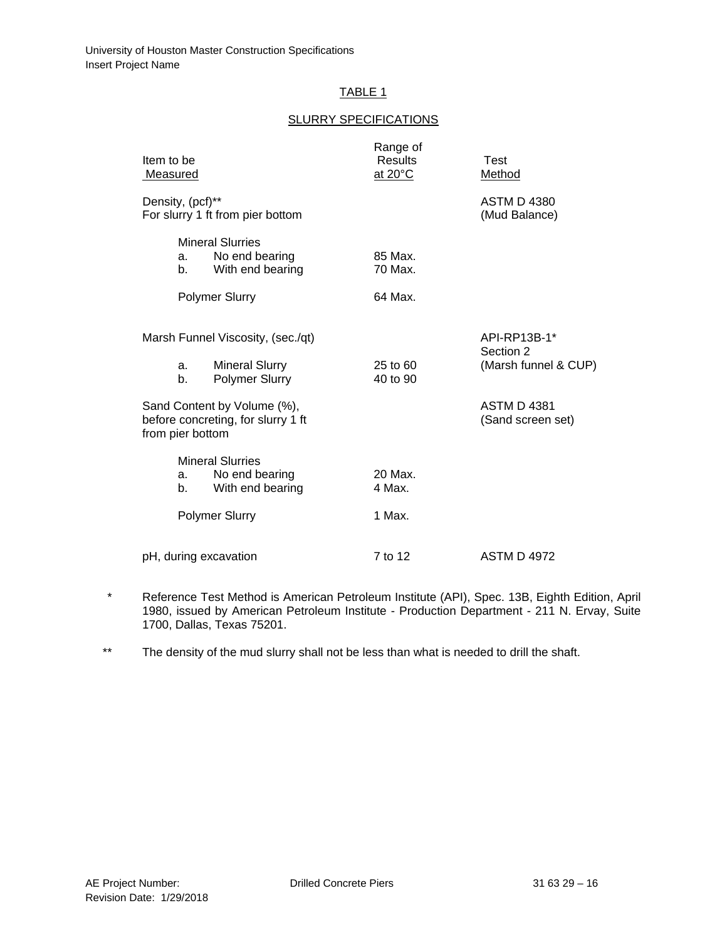# TABLE 1

#### SLURRY SPECIFICATIONS

| Item to be<br><u>Measured</u>                                                         |            |                                                               | Range of<br><b>Results</b><br>at 20°C   | <b>Test</b><br>Method               |  |
|---------------------------------------------------------------------------------------|------------|---------------------------------------------------------------|-----------------------------------------|-------------------------------------|--|
| Density, (pcf)**<br>For slurry 1 ft from pier bottom                                  |            |                                                               |                                         | <b>ASTM D 4380</b><br>(Mud Balance) |  |
|                                                                                       | а. –<br>b. | <b>Mineral Slurries</b><br>No end bearing<br>With end bearing | 85 Max.<br>70 Max.                      |                                     |  |
|                                                                                       |            | <b>Polymer Slurry</b>                                         | 64 Max.                                 |                                     |  |
| Marsh Funnel Viscosity, (sec./qt)                                                     |            |                                                               |                                         | API-RP13B-1*<br>Section 2           |  |
|                                                                                       | a.<br>b.   | <b>Mineral Slurry</b><br>Polymer Slurry                       | 25 to 60<br>40 to 90                    | (Marsh funnel & CUP)                |  |
| Sand Content by Volume (%),<br>before concreting, for slurry 1 ft<br>from pier bottom |            |                                                               | <b>ASTM D 4381</b><br>(Sand screen set) |                                     |  |
|                                                                                       | а. –<br>b. | <b>Mineral Slurries</b><br>No end bearing<br>With end bearing | 20 Max.<br>4 Max.                       |                                     |  |
| <b>Polymer Slurry</b>                                                                 |            |                                                               | 1 Max.                                  |                                     |  |
| pH, during excavation                                                                 |            |                                                               | 7 to 12                                 | <b>ASTM D 4972</b>                  |  |

- \* Reference Test Method is American Petroleum Institute (API), Spec. 13B, Eighth Edition, April 1980, issued by American Petroleum Institute - Production Department - 211 N. Ervay, Suite 1700, Dallas, Texas 75201.
- \*\* The density of the mud slurry shall not be less than what is needed to drill the shaft.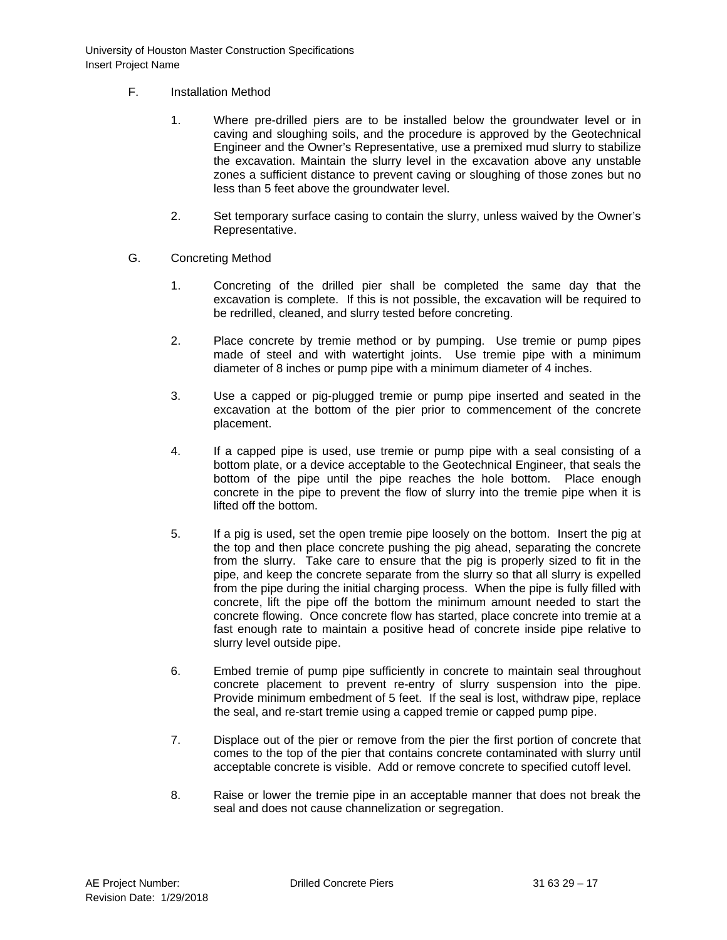- F. Installation Method
	- 1. Where pre-drilled piers are to be installed below the groundwater level or in caving and sloughing soils, and the procedure is approved by the Geotechnical Engineer and the Owner's Representative, use a premixed mud slurry to stabilize the excavation. Maintain the slurry level in the excavation above any unstable zones a sufficient distance to prevent caving or sloughing of those zones but no less than 5 feet above the groundwater level.
	- 2. Set temporary surface casing to contain the slurry, unless waived by the Owner's Representative.
- G. Concreting Method
	- 1. Concreting of the drilled pier shall be completed the same day that the excavation is complete. If this is not possible, the excavation will be required to be redrilled, cleaned, and slurry tested before concreting.
	- 2. Place concrete by tremie method or by pumping. Use tremie or pump pipes made of steel and with watertight joints. Use tremie pipe with a minimum diameter of 8 inches or pump pipe with a minimum diameter of 4 inches.
	- 3. Use a capped or pig-plugged tremie or pump pipe inserted and seated in the excavation at the bottom of the pier prior to commencement of the concrete placement.
	- 4. If a capped pipe is used, use tremie or pump pipe with a seal consisting of a bottom plate, or a device acceptable to the Geotechnical Engineer, that seals the bottom of the pipe until the pipe reaches the hole bottom. Place enough concrete in the pipe to prevent the flow of slurry into the tremie pipe when it is lifted off the bottom.
	- 5. If a pig is used, set the open tremie pipe loosely on the bottom. Insert the pig at the top and then place concrete pushing the pig ahead, separating the concrete from the slurry. Take care to ensure that the pig is properly sized to fit in the pipe, and keep the concrete separate from the slurry so that all slurry is expelled from the pipe during the initial charging process. When the pipe is fully filled with concrete, lift the pipe off the bottom the minimum amount needed to start the concrete flowing. Once concrete flow has started, place concrete into tremie at a fast enough rate to maintain a positive head of concrete inside pipe relative to slurry level outside pipe.
	- 6. Embed tremie of pump pipe sufficiently in concrete to maintain seal throughout concrete placement to prevent re-entry of slurry suspension into the pipe. Provide minimum embedment of 5 feet. If the seal is lost, withdraw pipe, replace the seal, and re-start tremie using a capped tremie or capped pump pipe.
	- 7. Displace out of the pier or remove from the pier the first portion of concrete that comes to the top of the pier that contains concrete contaminated with slurry until acceptable concrete is visible. Add or remove concrete to specified cutoff level.
	- 8. Raise or lower the tremie pipe in an acceptable manner that does not break the seal and does not cause channelization or segregation.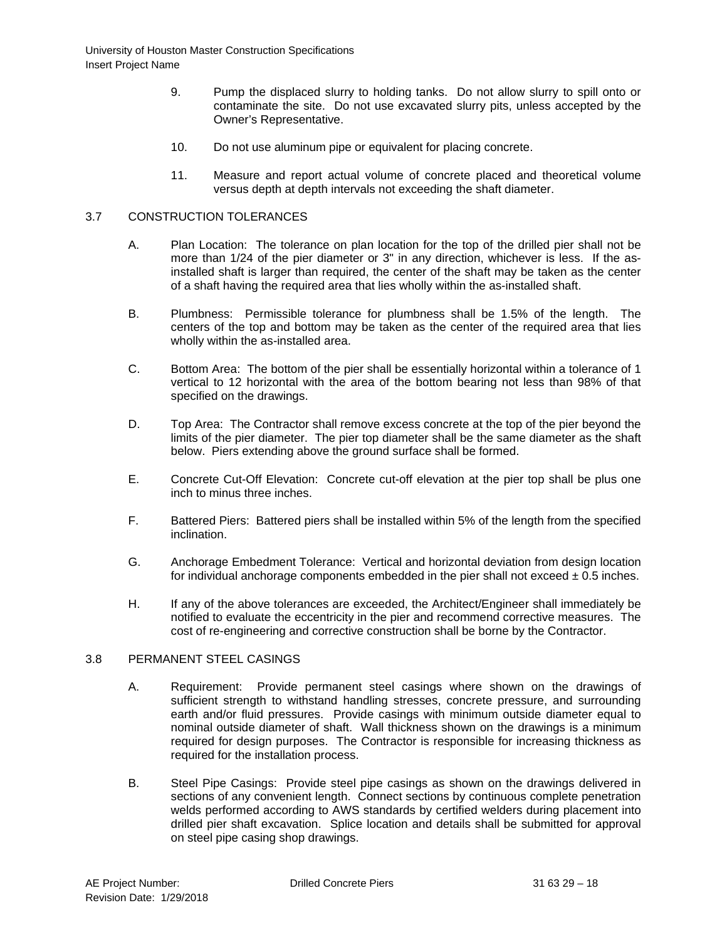- 9. Pump the displaced slurry to holding tanks. Do not allow slurry to spill onto or contaminate the site. Do not use excavated slurry pits, unless accepted by the Owner's Representative.
- 10. Do not use aluminum pipe or equivalent for placing concrete.
- 11. Measure and report actual volume of concrete placed and theoretical volume versus depth at depth intervals not exceeding the shaft diameter.

# 3.7 CONSTRUCTION TOLERANCES

- A. Plan Location: The tolerance on plan location for the top of the drilled pier shall not be more than 1/24 of the pier diameter or 3" in any direction, whichever is less. If the asinstalled shaft is larger than required, the center of the shaft may be taken as the center of a shaft having the required area that lies wholly within the as-installed shaft.
- B. Plumbness: Permissible tolerance for plumbness shall be 1.5% of the length. The centers of the top and bottom may be taken as the center of the required area that lies wholly within the as-installed area.
- C. Bottom Area: The bottom of the pier shall be essentially horizontal within a tolerance of 1 vertical to 12 horizontal with the area of the bottom bearing not less than 98% of that specified on the drawings.
- D. Top Area: The Contractor shall remove excess concrete at the top of the pier beyond the limits of the pier diameter. The pier top diameter shall be the same diameter as the shaft below. Piers extending above the ground surface shall be formed.
- E. Concrete Cut-Off Elevation: Concrete cut-off elevation at the pier top shall be plus one inch to minus three inches.
- F. Battered Piers: Battered piers shall be installed within 5% of the length from the specified inclination.
- G. Anchorage Embedment Tolerance: Vertical and horizontal deviation from design location for individual anchorage components embedded in the pier shall not exceed  $\pm$  0.5 inches.
- H. If any of the above tolerances are exceeded, the Architect/Engineer shall immediately be notified to evaluate the eccentricity in the pier and recommend corrective measures. The cost of re-engineering and corrective construction shall be borne by the Contractor.

# 3.8 PERMANENT STEEL CASINGS

- A. Requirement: Provide permanent steel casings where shown on the drawings of sufficient strength to withstand handling stresses, concrete pressure, and surrounding earth and/or fluid pressures. Provide casings with minimum outside diameter equal to nominal outside diameter of shaft. Wall thickness shown on the drawings is a minimum required for design purposes. The Contractor is responsible for increasing thickness as required for the installation process.
- B. Steel Pipe Casings: Provide steel pipe casings as shown on the drawings delivered in sections of any convenient length. Connect sections by continuous complete penetration welds performed according to AWS standards by certified welders during placement into drilled pier shaft excavation. Splice location and details shall be submitted for approval on steel pipe casing shop drawings.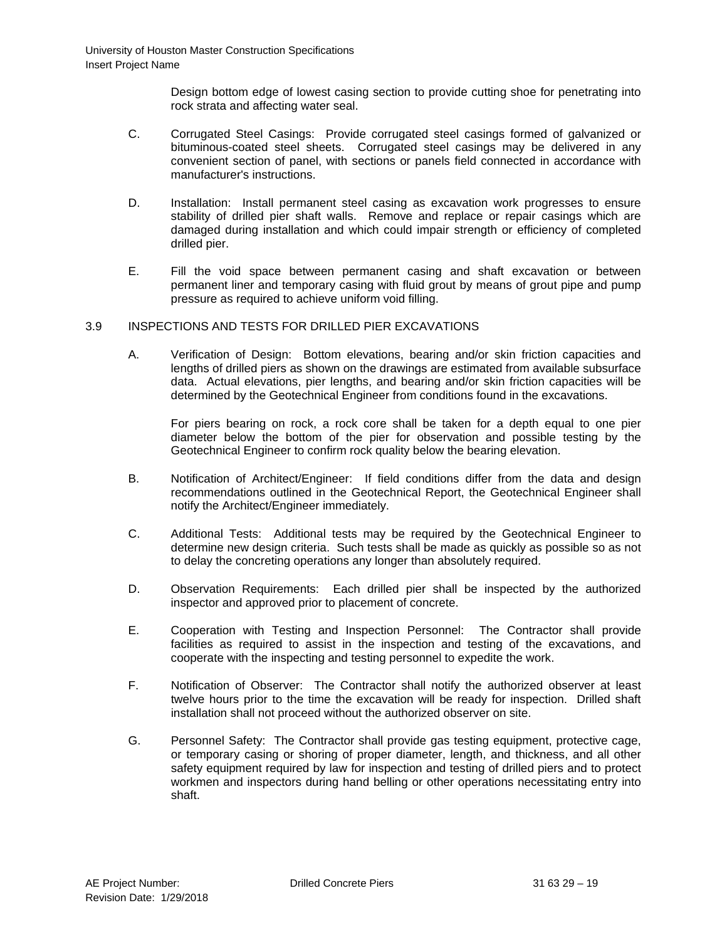Design bottom edge of lowest casing section to provide cutting shoe for penetrating into rock strata and affecting water seal.

- C. Corrugated Steel Casings: Provide corrugated steel casings formed of galvanized or bituminous-coated steel sheets. Corrugated steel casings may be delivered in any convenient section of panel, with sections or panels field connected in accordance with manufacturer's instructions.
- D. Installation: Install permanent steel casing as excavation work progresses to ensure stability of drilled pier shaft walls. Remove and replace or repair casings which are damaged during installation and which could impair strength or efficiency of completed drilled pier.
- E. Fill the void space between permanent casing and shaft excavation or between permanent liner and temporary casing with fluid grout by means of grout pipe and pump pressure as required to achieve uniform void filling.

# 3.9 INSPECTIONS AND TESTS FOR DRILLED PIER EXCAVATIONS

A. Verification of Design: Bottom elevations, bearing and/or skin friction capacities and lengths of drilled piers as shown on the drawings are estimated from available subsurface data. Actual elevations, pier lengths, and bearing and/or skin friction capacities will be determined by the Geotechnical Engineer from conditions found in the excavations.

For piers bearing on rock, a rock core shall be taken for a depth equal to one pier diameter below the bottom of the pier for observation and possible testing by the Geotechnical Engineer to confirm rock quality below the bearing elevation.

- B. Notification of Architect/Engineer: If field conditions differ from the data and design recommendations outlined in the Geotechnical Report, the Geotechnical Engineer shall notify the Architect/Engineer immediately.
- C. Additional Tests: Additional tests may be required by the Geotechnical Engineer to determine new design criteria. Such tests shall be made as quickly as possible so as not to delay the concreting operations any longer than absolutely required.
- D. Observation Requirements: Each drilled pier shall be inspected by the authorized inspector and approved prior to placement of concrete.
- E. Cooperation with Testing and Inspection Personnel: The Contractor shall provide facilities as required to assist in the inspection and testing of the excavations, and cooperate with the inspecting and testing personnel to expedite the work.
- F. Notification of Observer: The Contractor shall notify the authorized observer at least twelve hours prior to the time the excavation will be ready for inspection. Drilled shaft installation shall not proceed without the authorized observer on site.
- G. Personnel Safety: The Contractor shall provide gas testing equipment, protective cage, or temporary casing or shoring of proper diameter, length, and thickness, and all other safety equipment required by law for inspection and testing of drilled piers and to protect workmen and inspectors during hand belling or other operations necessitating entry into shaft.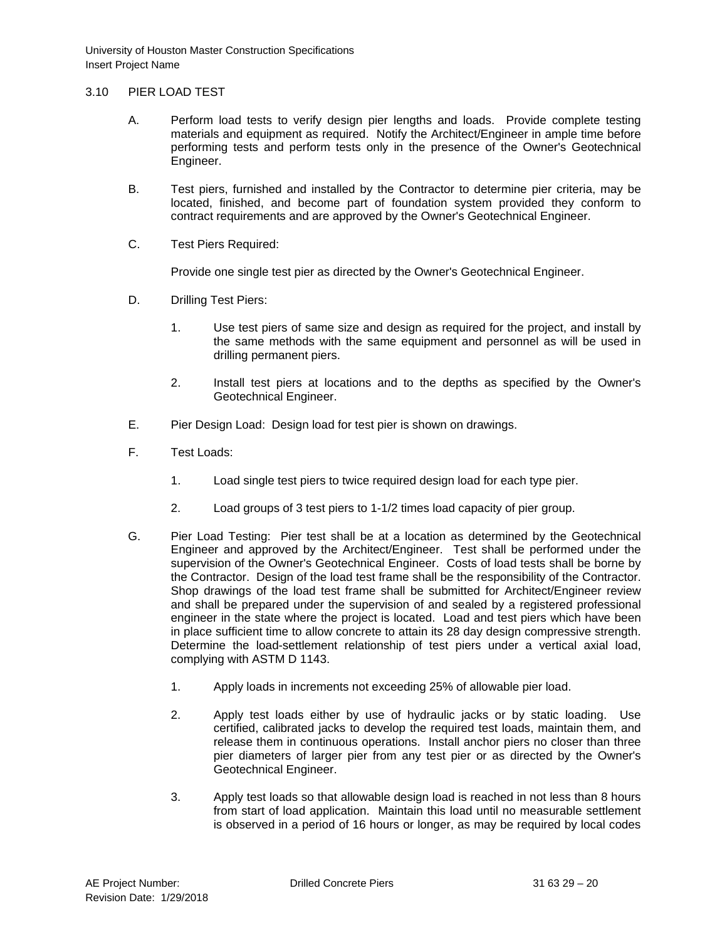# 3.10 PIER LOAD TEST

- A. Perform load tests to verify design pier lengths and loads. Provide complete testing materials and equipment as required. Notify the Architect/Engineer in ample time before performing tests and perform tests only in the presence of the Owner's Geotechnical Engineer.
- B. Test piers, furnished and installed by the Contractor to determine pier criteria, may be located, finished, and become part of foundation system provided they conform to contract requirements and are approved by the Owner's Geotechnical Engineer.
- C. Test Piers Required:

Provide one single test pier as directed by the Owner's Geotechnical Engineer.

- D. Drilling Test Piers:
	- 1. Use test piers of same size and design as required for the project, and install by the same methods with the same equipment and personnel as will be used in drilling permanent piers.
	- 2. Install test piers at locations and to the depths as specified by the Owner's Geotechnical Engineer.
- E. Pier Design Load: Design load for test pier is shown on drawings.
- F. Test Loads:
	- 1. Load single test piers to twice required design load for each type pier.
	- 2. Load groups of 3 test piers to 1-1/2 times load capacity of pier group.
- G. Pier Load Testing: Pier test shall be at a location as determined by the Geotechnical Engineer and approved by the Architect/Engineer. Test shall be performed under the supervision of the Owner's Geotechnical Engineer. Costs of load tests shall be borne by the Contractor. Design of the load test frame shall be the responsibility of the Contractor. Shop drawings of the load test frame shall be submitted for Architect/Engineer review and shall be prepared under the supervision of and sealed by a registered professional engineer in the state where the project is located. Load and test piers which have been in place sufficient time to allow concrete to attain its 28 day design compressive strength. Determine the load-settlement relationship of test piers under a vertical axial load, complying with ASTM D 1143.
	- 1. Apply loads in increments not exceeding 25% of allowable pier load.
	- 2. Apply test loads either by use of hydraulic jacks or by static loading. Use certified, calibrated jacks to develop the required test loads, maintain them, and release them in continuous operations. Install anchor piers no closer than three pier diameters of larger pier from any test pier or as directed by the Owner's Geotechnical Engineer.
	- 3. Apply test loads so that allowable design load is reached in not less than 8 hours from start of load application. Maintain this load until no measurable settlement is observed in a period of 16 hours or longer, as may be required by local codes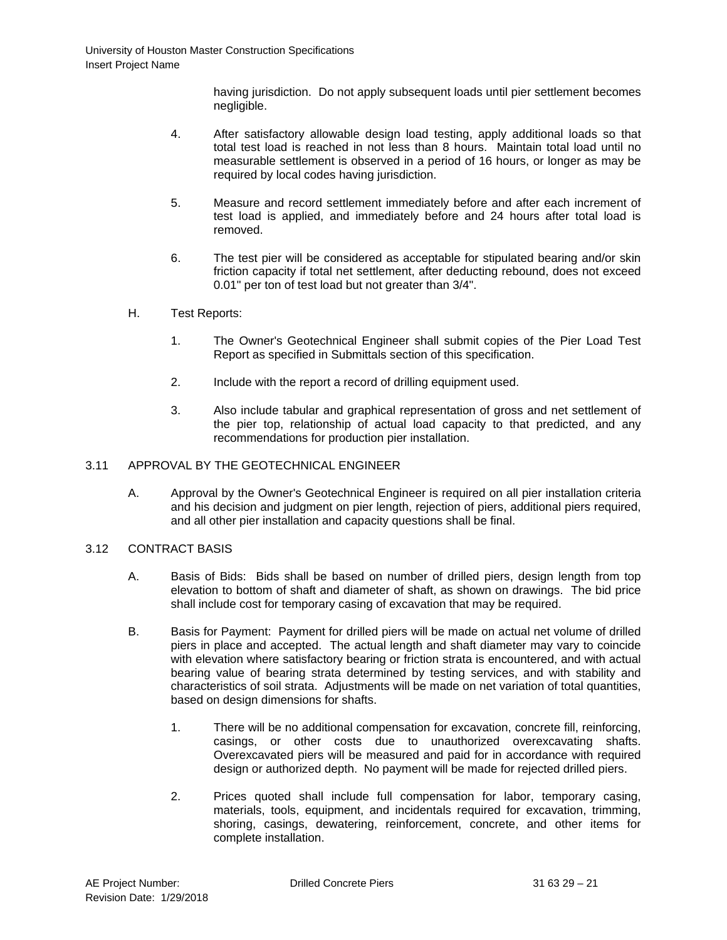having jurisdiction. Do not apply subsequent loads until pier settlement becomes negligible.

- 4. After satisfactory allowable design load testing, apply additional loads so that total test load is reached in not less than 8 hours. Maintain total load until no measurable settlement is observed in a period of 16 hours, or longer as may be required by local codes having jurisdiction.
- 5. Measure and record settlement immediately before and after each increment of test load is applied, and immediately before and 24 hours after total load is removed.
- 6. The test pier will be considered as acceptable for stipulated bearing and/or skin friction capacity if total net settlement, after deducting rebound, does not exceed 0.01" per ton of test load but not greater than 3/4".
- H. Test Reports:
	- 1. The Owner's Geotechnical Engineer shall submit copies of the Pier Load Test Report as specified in Submittals section of this specification.
	- 2. Include with the report a record of drilling equipment used.
	- 3. Also include tabular and graphical representation of gross and net settlement of the pier top, relationship of actual load capacity to that predicted, and any recommendations for production pier installation.

# 3.11 APPROVAL BY THE GEOTECHNICAL ENGINEER

A. Approval by the Owner's Geotechnical Engineer is required on all pier installation criteria and his decision and judgment on pier length, rejection of piers, additional piers required, and all other pier installation and capacity questions shall be final.

# 3.12 CONTRACT BASIS

- A. Basis of Bids: Bids shall be based on number of drilled piers, design length from top elevation to bottom of shaft and diameter of shaft, as shown on drawings. The bid price shall include cost for temporary casing of excavation that may be required.
- B. Basis for Payment: Payment for drilled piers will be made on actual net volume of drilled piers in place and accepted. The actual length and shaft diameter may vary to coincide with elevation where satisfactory bearing or friction strata is encountered, and with actual bearing value of bearing strata determined by testing services, and with stability and characteristics of soil strata. Adjustments will be made on net variation of total quantities, based on design dimensions for shafts.
	- 1. There will be no additional compensation for excavation, concrete fill, reinforcing, casings, or other costs due to unauthorized overexcavating shafts. Overexcavated piers will be measured and paid for in accordance with required design or authorized depth. No payment will be made for rejected drilled piers.
	- 2. Prices quoted shall include full compensation for labor, temporary casing, materials, tools, equipment, and incidentals required for excavation, trimming, shoring, casings, dewatering, reinforcement, concrete, and other items for complete installation.